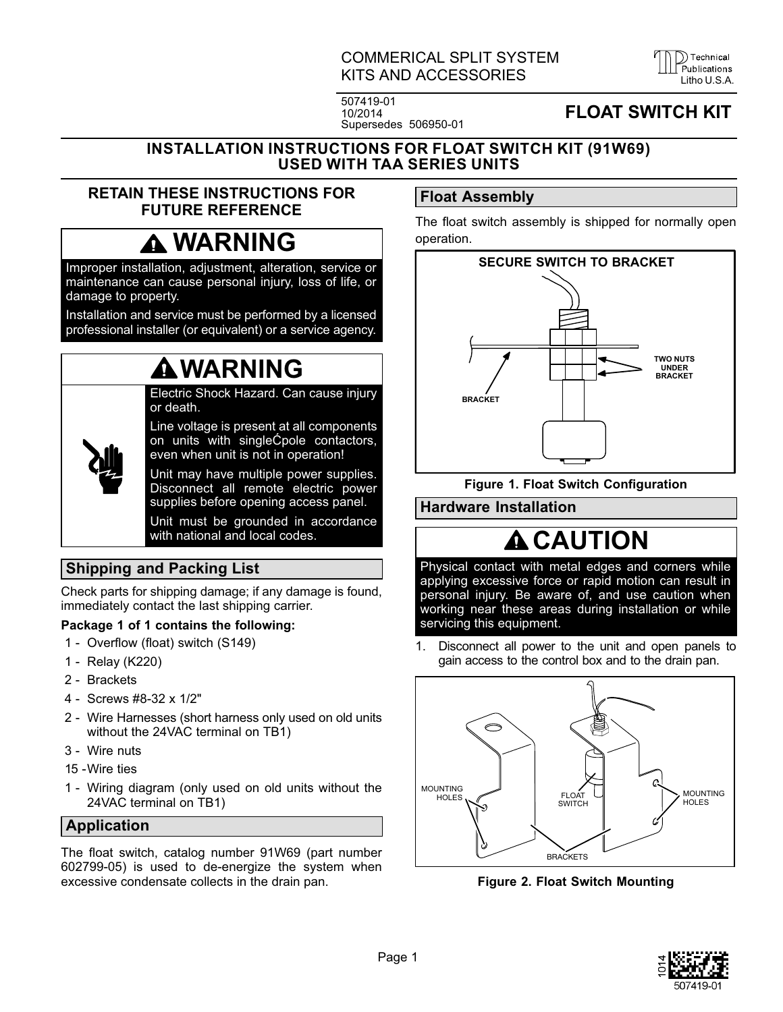## COMMERICAL SPLIT SYSTEM KITS AND ACCESSORIES LITTLE LITTLE LITTLE LITTLE LITTLE LITTLE LITTLE LITTLE LITTLE LITTLE LITTLE LITTLE LITTLE

D Technical

507419-01 10/2014 Supersedes 506950-01

# FLOAT SWITCH KIT

#### <span id="page-0-0"></span>INSTALLATION INSTRUCTIONS FOR FLOAT SWITCH KIT (91W69) USED WITH TAA SERIES UNITS

### RETAIN THESE INSTRUCTIONS FOR FUTURE REFERENCE

# **A WARNING**

Improper installation, adjustment, alteration, service or maintenance can cause personal injury, loss of life, or damage to property.

Installation and service must be performed by a licensed professional installer (or equivalent) or a service agency.

# WARNING

Electric Shock Hazard. Can cause injury or death.

Line voltage is present at all components on units with singleĆpole contactors, even when unit is not in operation!

Unit may have multiple power supplies. Disconnect all remote electric power supplies before opening access panel.

Unit must be grounded in accordance with national and local codes.

## Shipping and Packing List

Check parts for shipping damage; if any damage is found, immediately contact the last shipping carrier.

### Package 1 of 1 contains the following:

- 1 Overflow (float) switch (S149)
- 1 Relay (K220)
- 2 Brackets
- 4 Screws #8-32 x 1/2"
- 2 Wire Harnesses (short harness only used on old units without the 24VAC terminal on TB1)
- 3 Wire nuts
- 15 -Wire ties
- 1 Wiring diagram (only used on old units without the 24VAC terminal on TB1)

### Application

The float switch, catalog number 91W69 (part number 602799-05) is used to de-energize the system when excessive condensate collects in the drain pan.

# Float Assembly

The float switch assembly is shipped for normally open operation.



Figure 1. Float Switch Configuration

Hardware Installation

# **A** CAUTION

Physical contact with metal edges and corners while applying excessive force or rapid motion can result in personal injury. Be aware of, and use caution when working near these areas during installation or while servicing this equipment.

1. Disconnect all power to the unit and open panels to gain access to the control box and to the drain pan.



Figure 2. Float Switch Mounting

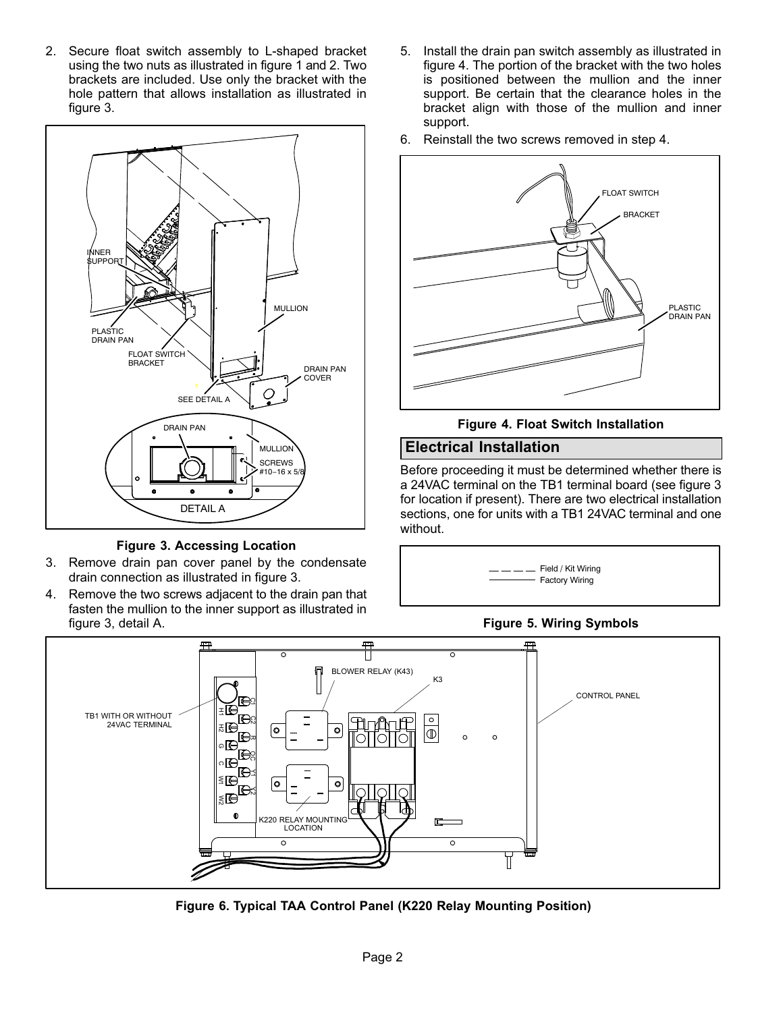2. Secure float switch assembly to L-shaped bracket using the two nuts as illustrated in figure [1](#page-0-0) and [2](#page-0-0). Two brackets are included. Use only the bracket with the hole pattern that allows installation as illustrated in figure 3.



Figure 3. Accessing Location

- 3. Remove drain pan cover panel by the condensate drain connection as illustrated in figure 3.
- 4. Remove the two screws adjacent to the drain pan that fasten the mullion to the inner support as illustrated in figure 3, detail A.
- 5. Install the drain pan switch assembly as illustrated in figure 4. The portion of the bracket with the two holes is positioned between the mullion and the inner support. Be certain that the clearance holes in the bracket align with those of the mullion and inner support.
- 6. Reinstall the two screws removed in step 4.



Figure 4. Float Switch Installation

#### Electrical Installation

Before proceeding it must be determined whether there is a 24VAC terminal on the TB1 terminal board (see figure 3 for location if present). There are two electrical installation sections, one for units with a TB1 24VAC terminal and one without.







Figure 6. Typical TAA Control Panel (K220 Relay Mounting Position)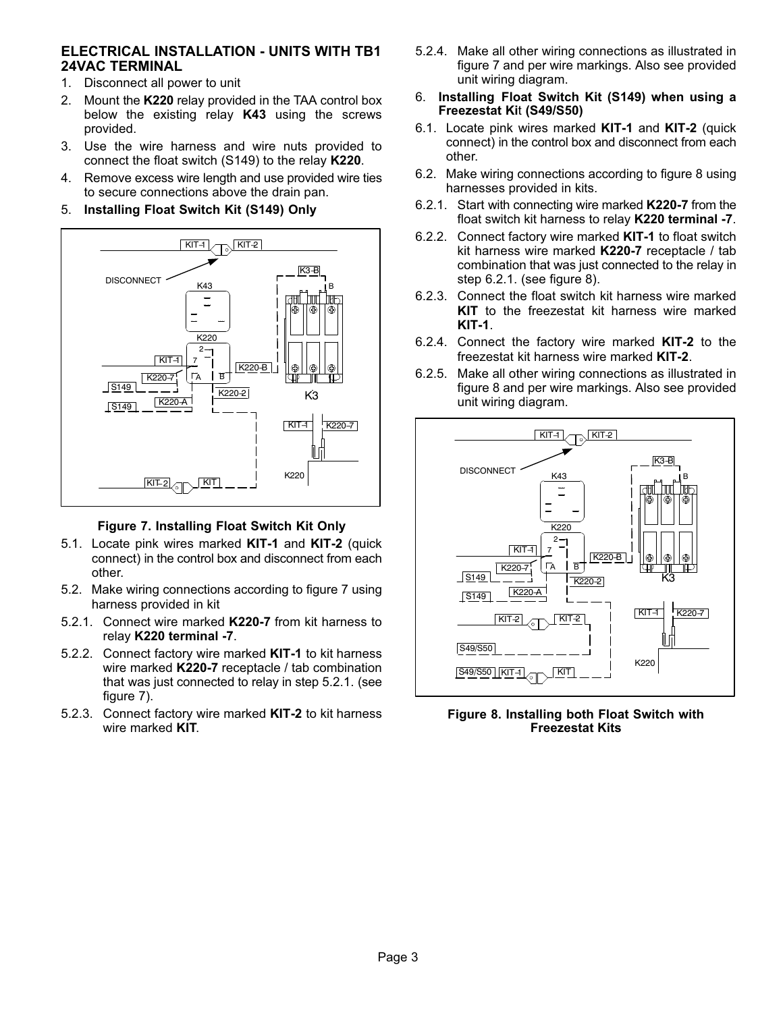#### ELECTRICAL INSTALLATION - UNITS WITH TB1 24VAC TERMINAL

- 1. Disconnect all power to unit
- 2. Mount the K220 relay provided in the TAA control box below the existing relay K43 using the screws provided.
- 3. Use the wire harness and wire nuts provided to connect the float switch (S149) to the relay K220.
- 4. Remove excess wire length and use provided wire ties to secure connections above the drain pan.
- 5. Installing Float Switch Kit (S149) Only



#### Figure 7. Installing Float Switch Kit Only

- 5.1. Locate pink wires marked KIT-1 and KIT-2 (quick connect) in the control box and disconnect from each other.
- 5.2. Make wiring connections according to figure 7 using harness provided in kit
- 5.2.1. Connect wire marked K220-7 from kit harness to relay K220 terminal -7.
- 5.2.2. Connect factory wire marked KIT-1 to kit harness wire marked K220-7 receptacle / tab combination that was just connected to relay in step 5.2.1. (see figure 7).
- 5.2.3. Connect factory wire marked KIT-2 to kit harness wire marked KIT.
- 5.2.4. Make all other wiring connections as illustrated in figure 7 and per wire markings. Also see provided unit wiring diagram.
- 6. Installing Float Switch Kit (S149) when using a Freezestat Kit (S49/S50)
- 6.1. Locate pink wires marked KIT-1 and KIT-2 (quick connect) in the control box and disconnect from each other.
- 6.2. Make wiring connections according to figure 8 using harnesses provided in kits.
- 6.2.1. Start with connecting wire marked K220-7 from the float switch kit harness to relay K220 terminal -7.
- 6.2.2. Connect factory wire marked KIT-1 to float switch kit harness wire marked K220-7 receptacle / tab combination that was just connected to the relay in step 6.2.1. (see figure 8).
- 6.2.3. Connect the float switch kit harness wire marked KIT to the freezestat kit harness wire marked KIT-1.
- 6.2.4. Connect the factory wire marked KIT-2 to the freezestat kit harness wire marked KIT-2.
- 6.2.5. Make all other wiring connections as illustrated in figure 8 and per wire markings. Also see provided unit wiring diagram.



Figure 8. Installing both Float Switch with Freezestat Kits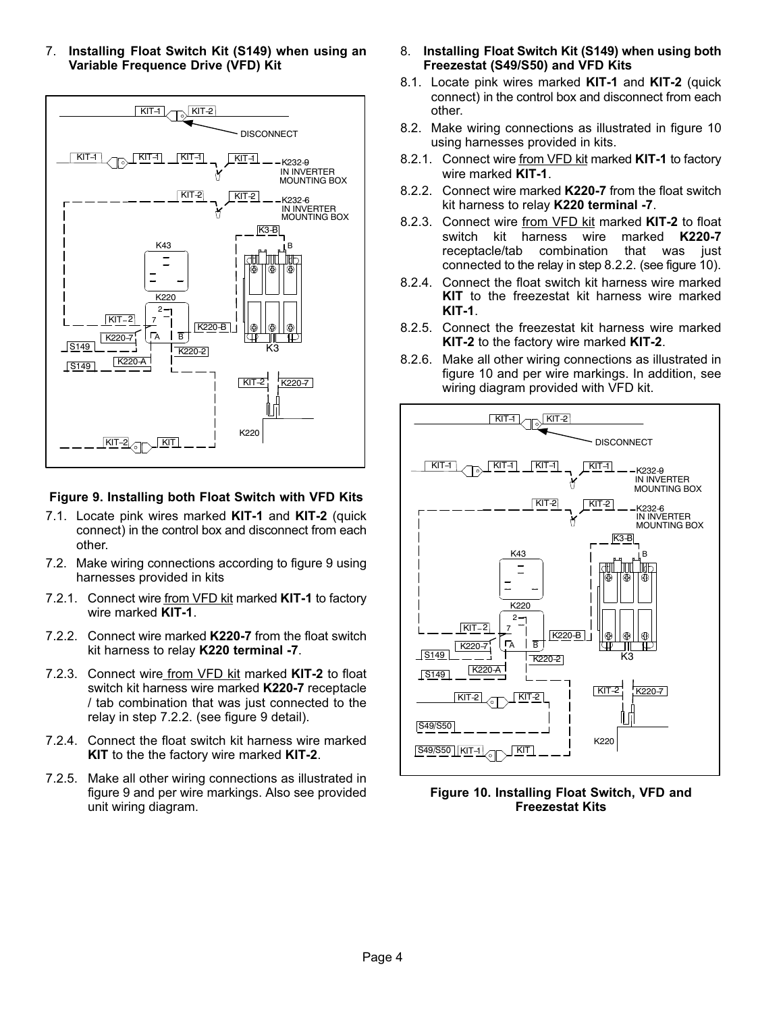7. Installing Float Switch Kit (S149) when using an Variable Frequence Drive (VFD) Kit



#### Figure 9. Installing both Float Switch with VFD Kits

- 7.1. Locate pink wires marked KIT-1 and KIT-2 (quick connect) in the control box and disconnect from each other.
- 7.2. Make wiring connections according to figure 9 using harnesses provided in kits
- 7.2.1. Connect wire from VFD kit marked KIT-1 to factory wire marked KIT-1.
- 7.2.2. Connect wire marked K220-7 from the float switch kit harness to relay K220 terminal -7.
- 7.2.3. Connect wire from VFD kit marked KIT-2 to float switch kit harness wire marked K220-7 receptacle / tab combination that was just connected to the relay in step 7.2.2. (see figure 9 detail).
- 7.2.4. Connect the float switch kit harness wire marked KIT to the the factory wire marked KIT-2.
- 7.2.5. Make all other wiring connections as illustrated in figure 9 and per wire markings. Also see provided unit wiring diagram.
- 8. Installing Float Switch Kit (S149) when using both Freezestat (S49/S50) and VFD Kits
- 8.1. Locate pink wires marked KIT-1 and KIT-2 (quick connect) in the control box and disconnect from each other.
- 8.2. Make wiring connections as illustrated in figure 10 using harnesses provided in kits.
- 8.2.1. Connect wire from VFD kit marked KIT-1 to factory wire marked KIT-1.
- 8.2.2. Connect wire marked K220-7 from the float switch kit harness to relay K220 terminal -7.
- 8.2.3. Connect wire from VFD kit marked KIT-2 to float switch kit harness wire marked K220-7 receptacle/tab combination that was just connected to the relay in step 8.2.2. (see figure 10).
- 8.2.4. Connect the float switch kit harness wire marked KIT to the freezestat kit harness wire marked KIT-1.
- 8.2.5. Connect the freezestat kit harness wire marked KIT-2 to the factory wire marked KIT-2.
- 8.2.6. Make all other wiring connections as illustrated in figure 10 and per wire markings. In addition, see wiring diagram provided with VFD kit.



Figure 10. Installing Float Switch, VFD and Freezestat Kits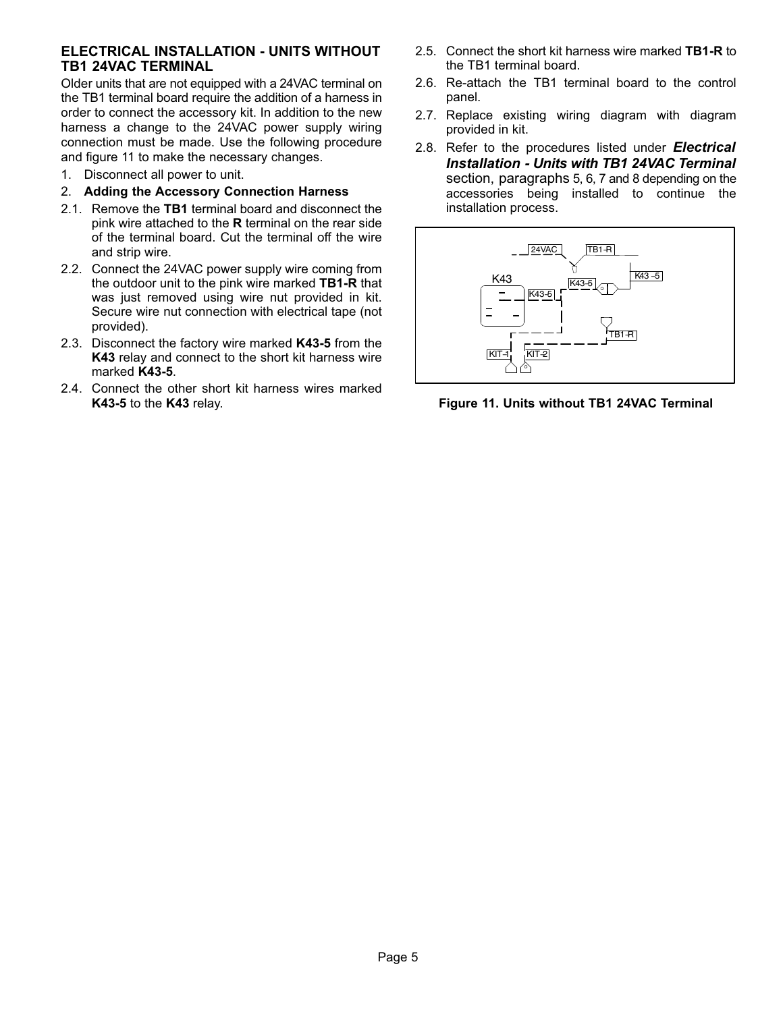#### ELECTRICAL INSTALLATION - UNITS WITHOUT TB1 24VAC TERMINAL

Older units that are not equipped with a 24VAC terminal on the TB1 terminal board require the addition of a harness in order to connect the accessory kit. In addition to the new harness a change to the 24VAC power supply wiring connection must be made. Use the following procedure and figure 11 to make the necessary changes.

- 1. Disconnect all power to unit.
- 2. Adding the Accessory Connection Harness
- 2.1. Remove the TB1 terminal board and disconnect the pink wire attached to the  $R$  terminal on the rear side of the terminal board. Cut the terminal off the wire and strip wire.
- 2.2. Connect the 24VAC power supply wire coming from the outdoor unit to the pink wire marked TB1-R that was just removed using wire nut provided in kit. Secure wire nut connection with electrical tape (not provided).
- 2.3. Disconnect the factory wire marked K43-5 from the K43 relay and connect to the short kit harness wire marked K43-5.
- 2.4. Connect the other short kit harness wires marked K43-5 to the K43 relay.
- 2.5. Connect the short kit harness wire marked TB1-R to the TB1 terminal board.
- 2.6. Re-attach the TB1 terminal board to the control panel.
- 2.7. Replace existing wiring diagram with diagram provided in kit.
- 2.8. Refer to the procedures listed under **Electrical** Installation - Units with TB1 24VAC Terminal section, paragraphs 5, 6, 7 and 8 depending on the accessories being installed to continue the installation process.



Figure 11. Units without TB1 24VAC Terminal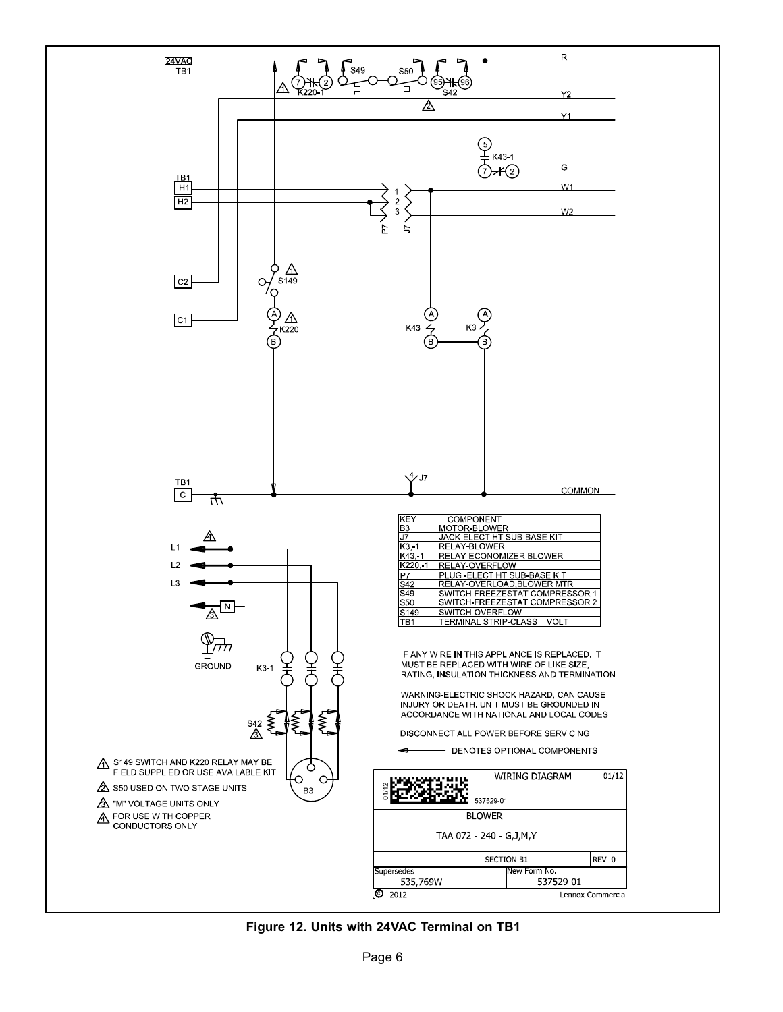

Figure 12. Units with 24VAC Terminal on TB1